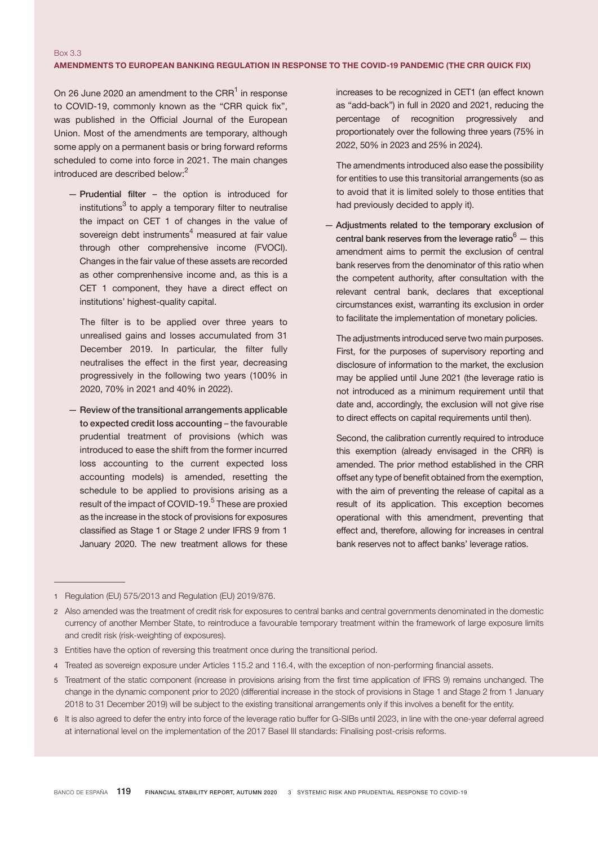## Box 3.3 AMENDMENTS TO EUROPEAN BANKING REGULATION IN RESPONSE TO THE COVID-19 PANDEMIC (the CRR quick fix)

On 26 June 2020 an amendment to the CRR<sup>1</sup> in response to COVID-19, commonly known as the "CRR quick fix", was published in the Official Journal of the European Union. Most of the amendments are temporary, although some apply on a permanent basis or bring forward reforms scheduled to come into force in 2021. The main changes introduced are described below:<sup>2</sup>

— Prudential filter – the option is introduced for institutions<sup>3</sup> to apply a temporary filter to neutralise the impact on CET 1 of changes in the value of sovereign debt instruments $4$  measured at fair value through other comprehensive income (FVOCI). Changes in the fair value of these assets are recorded as other comprenhensive income and, as this is a CET 1 component, they have a direct effect on institutions' highest-quality capital.

 The filter is to be applied over three years to unrealised gains and losses accumulated from 31 December 2019. In particular, the filter fully neutralises the effect in the first year, decreasing progressively in the following two years (100% in 2020, 70% in 2021 and 40% in 2022).

— Review of the transitional arrangements applicable to expected credit loss accounting – the favourable prudential treatment of provisions (which was introduced to ease the shift from the former incurred loss accounting to the current expected loss accounting models) is amended, resetting the schedule to be applied to provisions arising as a result of the impact of COVID-19.<sup>5</sup> These are proxied as the increase in the stock of provisions for exposures classified as Stage 1 or Stage 2 under IFRS 9 from 1 January 2020. The new treatment allows for these increases to be recognized in CET1 (an effect known as "add-back") in full in 2020 and 2021, reducing the percentage of recognition progressively and proportionately over the following three years (75% in 2022, 50% in 2023 and 25% in 2024).

 The amendments introduced also ease the possibility for entities to use this transitorial arrangements (so as to avoid that it is limited solely to those entities that had previously decided to apply it).

— Adjustments related to the temporary exclusion of central bank reserves from the leverage ratio $6 -$  this amendment aims to permit the exclusion of central bank reserves from the denominator of this ratio when the competent authority, after consultation with the relevant central bank, declares that exceptional circumstances exist, warranting its exclusion in order to facilitate the implementation of monetary policies.

 The adjustments introduced serve two main purposes. First, for the purposes of supervisory reporting and disclosure of information to the market, the exclusion may be applied until June 2021 (the leverage ratio is not introduced as a minimum requirement until that date and, accordingly, the exclusion will not give rise to direct effects on capital requirements until then).

 Second, the calibration currently required to introduce this exemption (already envisaged in the CRR) is amended. The prior method established in the CRR offset any type of benefit obtained from the exemption, with the aim of preventing the release of capital as a result of its application. This exception becomes operational with this amendment, preventing that effect and, therefore, allowing for increases in central bank reserves not to affect banks' leverage ratios.

6 It is also agreed to defer the entry into force of the leverage ratio buffer for G-SIBs until 2023, in line with the one-year deferral agreed at international level on the implementation of the 2017 Basel III standards: Finalising post-crisis reforms.

<sup>1</sup> Regulation (EU) 575/2013 and Regulation (EU) 2019/876.

<sup>2</sup> Also amended was the treatment of credit risk for exposures to central banks and central governments denominated in the domestic currency of another Member State, to reintroduce a favourable temporary treatment within the framework of large exposure limits and credit risk (risk-weighting of exposures).

<sup>3</sup> Entities have the option of reversing this treatment once during the transitional period.

<sup>4</sup> Treated as sovereign exposure under Articles 115.2 and 116.4, with the exception of non-performing financial assets.

<sup>5</sup> Treatment of the static component (increase in provisions arising from the first time application of IFRS 9) remains unchanged. The change in the dynamic component prior to 2020 (differential increase in the stock of provisions in Stage 1 and Stage 2 from 1 January 2018 to 31 December 2019) will be subject to the existing transitional arrangements only if this involves a benefit for the entity.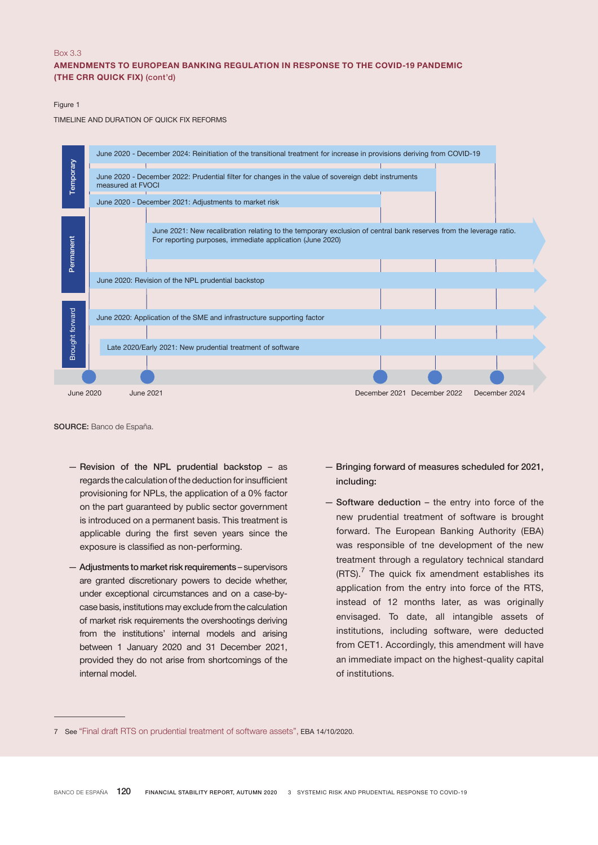## Box 3.3 AMENDMENTS TO EUROPEAN BANKING REGULATION IN RESPONSE TO THE COVID-19 PANDEMIC (THE CRR QUICK FIX) (cont'd)

## Figure 1

TIMELINE AND DURATION OF QUICK FIX REFORMS



SOURCE: Banco de España.

- Revision of the NPL prudential backstop as regards the calculation of the deduction for insufficient provisioning for NPLs, the application of a 0% factor on the part guaranteed by public sector government is introduced on a permanent basis. This treatment is applicable during the first seven years since the exposure is classified as non-performing.
- Adjustments to market risk requirements supervisors are granted discretionary powers to decide whether, under exceptional circumstances and on a case-bycase basis, institutions may exclude from the calculation of market risk requirements the overshootings deriving from the institutions' internal models and arising between 1 January 2020 and 31 December 2021, provided they do not arise from shortcomings of the internal model.
- Bringing forward of measures scheduled for 2021, including:
- Software deduction the entry into force of the new prudential treatment of software is brought forward. The European Banking Authority (EBA) was responsible of tne development of the new treatment through a regulatory technical standard  $(RTS)$ .<sup>7</sup> The quick fix amendment establishes its application from the entry into force of the RTS, instead of 12 months later, as was originally envisaged. To date, all intangible assets of institutions, including software, were deducted from CET1. Accordingly, this amendment will have an immediate impact on the highest-quality capital of institutions.

<sup>7</sup> See "Final draft RTS on [prudential](https://eba.europa.eu/sites/default/documents/files/document_library/Publications/Draft%2520Technical%2520Standards/2020/RTS/933771/Final%2520Draft%2520RTS%2520on%2520prudential%2520treatment%2520of%2520software%2520assets.pdf) treatment of software assets", EBA 14/10/2020.